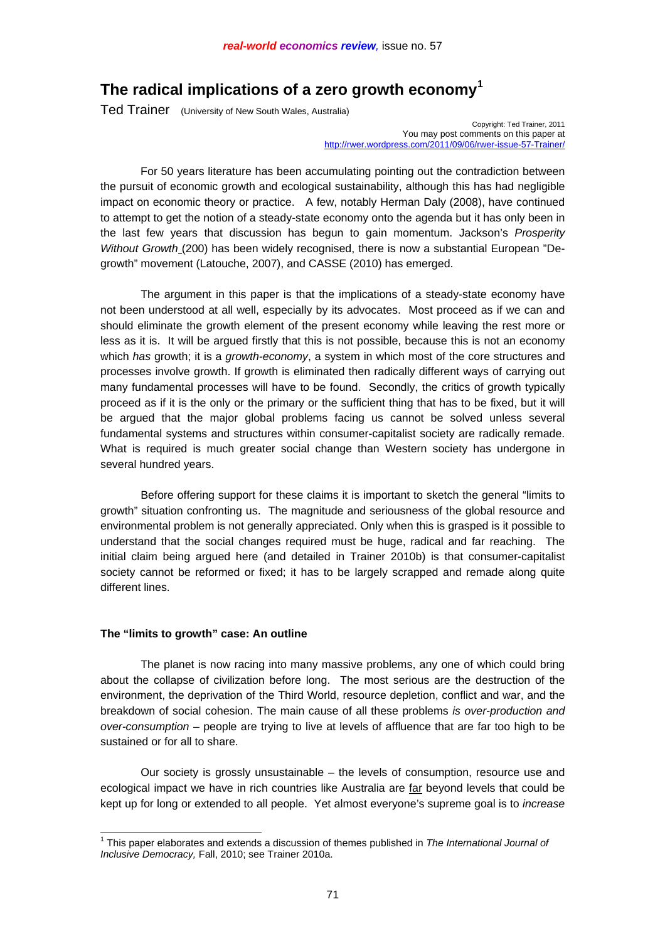# **The radical implications of a zero growth economy[1](#page-0-0)**

Ted Trainer (University of New South Wales, Australia)

Copyright: Ted Trainer, 2011 You may post comments on this paper at [http://rwer.wordpress.com/2011/09/06/rwer-issue-57-Trainer/](http://rwer.wordpress.com/2011/09/06/rwer-issue-57-ted-trainer/)

 For 50 years literature has been accumulating pointing out the contradiction between the pursuit of economic growth and ecological sustainability, although this has had negligible impact on economic theory or practice. A few, notably Herman Daly (2008), have continued to attempt to get the notion of a steady-state economy onto the agenda but it has only been in the last few years that discussion has begun to gain momentum. Jackson's *Prosperity Without Growth* (200) has been widely recognised, there is now a substantial European "Degrowth" movement (Latouche, 2007), and CASSE (2010) has emerged.

 The argument in this paper is that the implications of a steady-state economy have not been understood at all well, especially by its advocates. Most proceed as if we can and should eliminate the growth element of the present economy while leaving the rest more or less as it is. It will be argued firstly that this is not possible, because this is not an economy which *has* growth; it is a *growth-economy*, a system in which most of the core structures and processes involve growth. If growth is eliminated then radically different ways of carrying out many fundamental processes will have to be found. Secondly, the critics of growth typically proceed as if it is the only or the primary or the sufficient thing that has to be fixed, but it will be argued that the major global problems facing us cannot be solved unless several fundamental systems and structures within consumer-capitalist society are radically remade. What is required is much greater social change than Western society has undergone in several hundred years.

 Before offering support for these claims it is important to sketch the general "limits to growth" situation confronting us. The magnitude and seriousness of the global resource and environmental problem is not generally appreciated. Only when this is grasped is it possible to understand that the social changes required must be huge, radical and far reaching. The initial claim being argued here (and detailed in Trainer 2010b) is that consumer-capitalist society cannot be reformed or fixed; it has to be largely scrapped and remade along quite different lines.

#### **The "limits to growth" case: An outline**

 The planet is now racing into many massive problems, any one of which could bring about the collapse of civilization before long. The most serious are the destruction of the environment, the deprivation of the Third World, resource depletion, conflict and war, and the breakdown of social cohesion. The main cause of all these problems *is over-production and over-consumption* – people are trying to live at levels of affluence that are far too high to be sustained or for all to share.

 Our society is grossly unsustainable – the levels of consumption, resource use and ecological impact we have in rich countries like Australia are far beyond levels that could be kept up for long or extended to all people. Yet almost everyone's supreme goal is to *increase*

<span id="page-0-0"></span> 1 This paper elaborates and extends a discussion of themes published in *The International Journal of Inclusive Democracy,* Fall, 2010; see Trainer 2010a.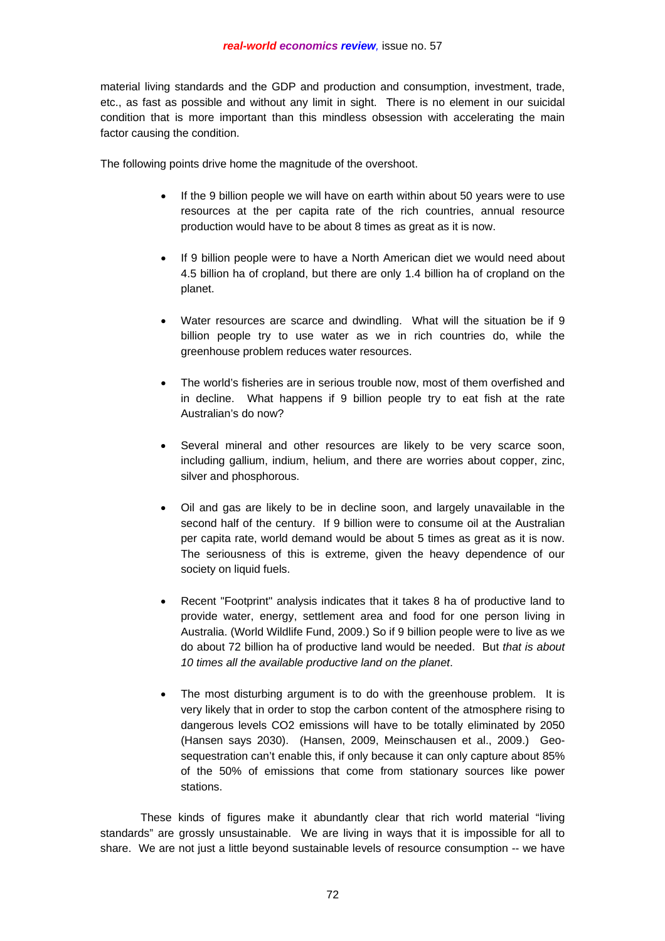material living standards and the GDP and production and consumption, investment, trade, etc., as fast as possible and without any limit in sight. There is no element in our suicidal condition that is more important than this mindless obsession with accelerating the main factor causing the condition.

The following points drive home the magnitude of the overshoot.

- If the 9 billion people we will have on earth within about 50 years were to use resources at the per capita rate of the rich countries, annual resource production would have to be about 8 times as great as it is now.
- If 9 billion people were to have a North American diet we would need about 4.5 billion ha of cropland, but there are only 1.4 billion ha of cropland on the planet.
- Water resources are scarce and dwindling. What will the situation be if 9 billion people try to use water as we in rich countries do, while the greenhouse problem reduces water resources.
- The world's fisheries are in serious trouble now, most of them overfished and in decline. What happens if 9 billion people try to eat fish at the rate Australian's do now?
- Several mineral and other resources are likely to be very scarce soon, including gallium, indium, helium, and there are worries about copper, zinc, silver and phosphorous.
- Oil and gas are likely to be in decline soon, and largely unavailable in the second half of the century. If 9 billion were to consume oil at the Australian per capita rate, world demand would be about 5 times as great as it is now. The seriousness of this is extreme, given the heavy dependence of our society on liquid fuels.
- Recent "Footprint" analysis indicates that it takes 8 ha of productive land to provide water, energy, settlement area and food for one person living in Australia. (World Wildlife Fund, 2009.) So if 9 billion people were to live as we do about 72 billion ha of productive land would be needed. But *that is about 10 times all the available productive land on the planet*.
- The most disturbing argument is to do with the greenhouse problem. It is very likely that in order to stop the carbon content of the atmosphere rising to dangerous levels CO2 emissions will have to be totally eliminated by 2050 (Hansen says 2030). (Hansen, 2009, Meinschausen et al., 2009.) Geosequestration can't enable this, if only because it can only capture about 85% of the 50% of emissions that come from stationary sources like power stations.

 These kinds of figures make it abundantly clear that rich world material "living standards" are grossly unsustainable. We are living in ways that it is impossible for all to share. We are not just a little beyond sustainable levels of resource consumption -- we have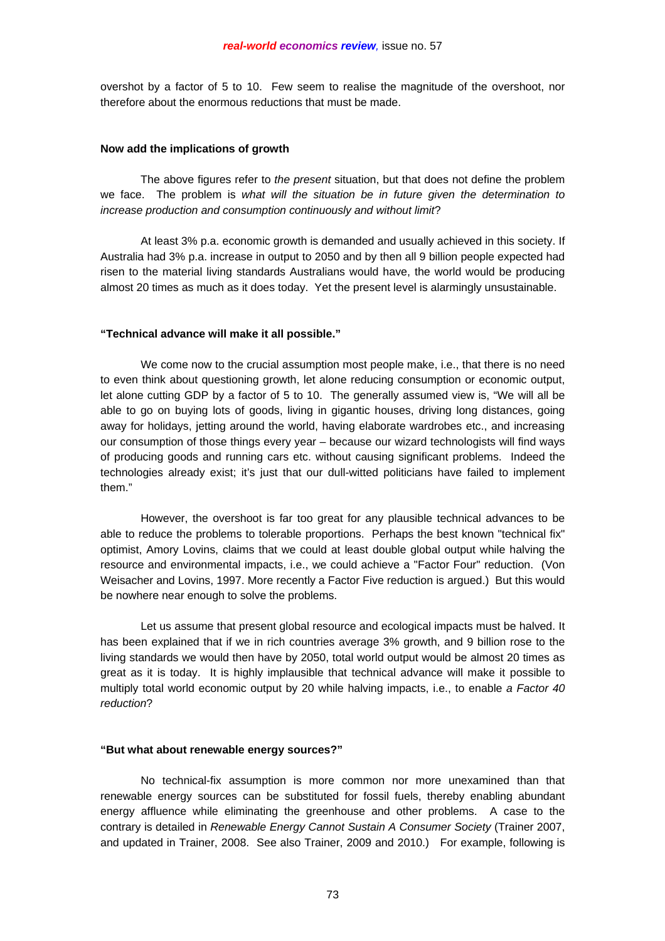overshot by a factor of 5 to 10. Few seem to realise the magnitude of the overshoot, nor therefore about the enormous reductions that must be made.

#### **Now add the implications of growth**

 The above figures refer to *the present* situation, but that does not define the problem we face. The problem is *what will the situation be in future given the determination to increase production and consumption continuously and without limit*?

 At least 3% p.a. economic growth is demanded and usually achieved in this society. If Australia had 3% p.a. increase in output to 2050 and by then all 9 billion people expected had risen to the material living standards Australians would have, the world would be producing almost 20 times as much as it does today. Yet the present level is alarmingly unsustainable.

#### **"Technical advance will make it all possible."**

 We come now to the crucial assumption most people make, i.e., that there is no need to even think about questioning growth, let alone reducing consumption or economic output, let alone cutting GDP by a factor of 5 to 10. The generally assumed view is, "We will all be able to go on buying lots of goods, living in gigantic houses, driving long distances, going away for holidays, jetting around the world, having elaborate wardrobes etc., and increasing our consumption of those things every year – because our wizard technologists will find ways of producing goods and running cars etc. without causing significant problems. Indeed the technologies already exist; it's just that our dull-witted politicians have failed to implement them."

 However, the overshoot is far too great for any plausible technical advances to be able to reduce the problems to tolerable proportions. Perhaps the best known "technical fix" optimist, Amory Lovins, claims that we could at least double global output while halving the resource and environmental impacts, i.e., we could achieve a "Factor Four" reduction. (Von Weisacher and Lovins, 1997. More recently a Factor Five reduction is argued.) But this would be nowhere near enough to solve the problems.

 Let us assume that present global resource and ecological impacts must be halved. It has been explained that if we in rich countries average 3% growth, and 9 billion rose to the living standards we would then have by 2050, total world output would be almost 20 times as great as it is today. It is highly implausible that technical advance will make it possible to multiply total world economic output by 20 while halving impacts, i.e., to enable *a Factor 40 reduction*?

# **"But what about renewable energy sources?"**

 No technical-fix assumption is more common nor more unexamined than that renewable energy sources can be substituted for fossil fuels, thereby enabling abundant energy affluence while eliminating the greenhouse and other problems. A case to the contrary is detailed in *Renewable Energy Cannot Sustain A Consumer Society* (Trainer 2007, and updated in Trainer, 2008. See also Trainer, 2009 and 2010.) For example, following is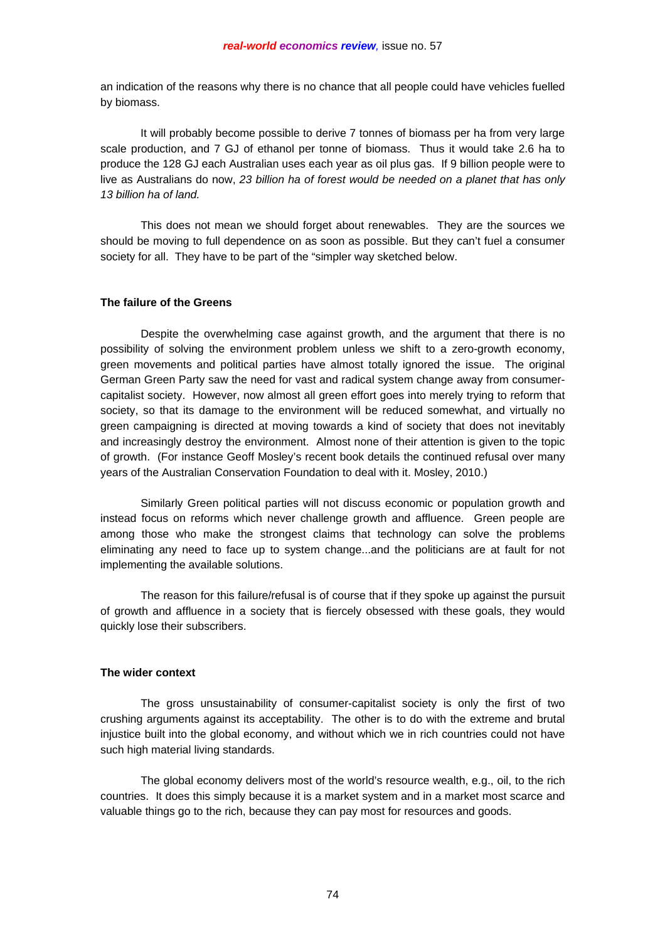an indication of the reasons why there is no chance that all people could have vehicles fuelled by biomass.

 It will probably become possible to derive 7 tonnes of biomass per ha from very large scale production, and 7 GJ of ethanol per tonne of biomass. Thus it would take 2.6 ha to produce the 128 GJ each Australian uses each year as oil plus gas. If 9 billion people were to live as Australians do now, *23 billion ha of forest would be needed on a planet that has only 13 billion ha of land.*

 This does not mean we should forget about renewables. They are the sources we should be moving to full dependence on as soon as possible. But they can't fuel a consumer society for all. They have to be part of the "simpler way sketched below.

### **The failure of the Greens**

 Despite the overwhelming case against growth, and the argument that there is no possibility of solving the environment problem unless we shift to a zero-growth economy, green movements and political parties have almost totally ignored the issue. The original German Green Party saw the need for vast and radical system change away from consumercapitalist society. However, now almost all green effort goes into merely trying to reform that society, so that its damage to the environment will be reduced somewhat, and virtually no green campaigning is directed at moving towards a kind of society that does not inevitably and increasingly destroy the environment. Almost none of their attention is given to the topic of growth. (For instance Geoff Mosley's recent book details the continued refusal over many years of the Australian Conservation Foundation to deal with it. Mosley, 2010.)

 Similarly Green political parties will not discuss economic or population growth and instead focus on reforms which never challenge growth and affluence. Green people are among those who make the strongest claims that technology can solve the problems eliminating any need to face up to system change...and the politicians are at fault for not implementing the available solutions.

 The reason for this failure/refusal is of course that if they spoke up against the pursuit of growth and affluence in a society that is fiercely obsessed with these goals, they would quickly lose their subscribers.

# **The wider context**

 The gross unsustainability of consumer-capitalist society is only the first of two crushing arguments against its acceptability. The other is to do with the extreme and brutal injustice built into the global economy, and without which we in rich countries could not have such high material living standards.

 The global economy delivers most of the world's resource wealth, e.g., oil, to the rich countries. It does this simply because it is a market system and in a market most scarce and valuable things go to the rich, because they can pay most for resources and goods.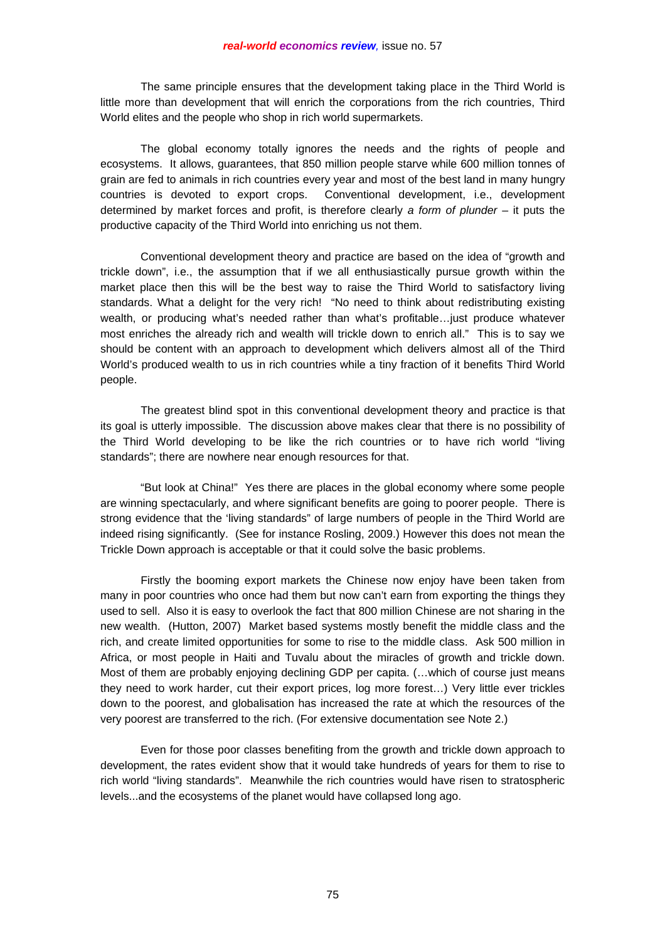The same principle ensures that the development taking place in the Third World is little more than development that will enrich the corporations from the rich countries, Third World elites and the people who shop in rich world supermarkets.

 The global economy totally ignores the needs and the rights of people and ecosystems. It allows, guarantees, that 850 million people starve while 600 million tonnes of grain are fed to animals in rich countries every year and most of the best land in many hungry countries is devoted to export crops. Conventional development, i.e., development determined by market forces and profit, is therefore clearly *a form of plunder* – it puts the productive capacity of the Third World into enriching us not them.

 Conventional development theory and practice are based on the idea of "growth and trickle down", i.e., the assumption that if we all enthusiastically pursue growth within the market place then this will be the best way to raise the Third World to satisfactory living standards. What a delight for the very rich! "No need to think about redistributing existing wealth, or producing what's needed rather than what's profitable…just produce whatever most enriches the already rich and wealth will trickle down to enrich all." This is to say we should be content with an approach to development which delivers almost all of the Third World's produced wealth to us in rich countries while a tiny fraction of it benefits Third World people.

 The greatest blind spot in this conventional development theory and practice is that its goal is utterly impossible. The discussion above makes clear that there is no possibility of the Third World developing to be like the rich countries or to have rich world "living standards"; there are nowhere near enough resources for that.

 "But look at China!" Yes there are places in the global economy where some people are winning spectacularly, and where significant benefits are going to poorer people. There is strong evidence that the 'living standards" of large numbers of people in the Third World are indeed rising significantly. (See for instance Rosling, 2009.) However this does not mean the Trickle Down approach is acceptable or that it could solve the basic problems.

 Firstly the booming export markets the Chinese now enjoy have been taken from many in poor countries who once had them but now can't earn from exporting the things they used to sell. Also it is easy to overlook the fact that 800 million Chinese are not sharing in the new wealth. (Hutton, 2007) Market based systems mostly benefit the middle class and the rich, and create limited opportunities for some to rise to the middle class. Ask 500 million in Africa, or most people in Haiti and Tuvalu about the miracles of growth and trickle down. Most of them are probably enjoying declining GDP per capita. (…which of course just means they need to work harder, cut their export prices, log more forest…) Very little ever trickles down to the poorest, and globalisation has increased the rate at which the resources of the very poorest are transferred to the rich. (For extensive documentation see Note 2.)

 Even for those poor classes benefiting from the growth and trickle down approach to development, the rates evident show that it would take hundreds of years for them to rise to rich world "living standards". Meanwhile the rich countries would have risen to stratospheric levels...and the ecosystems of the planet would have collapsed long ago.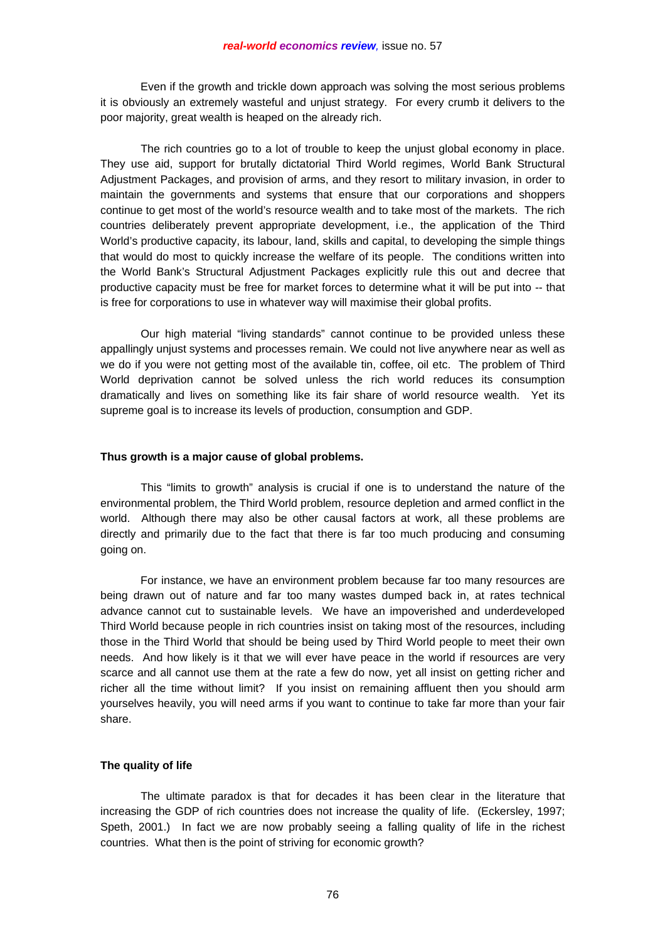Even if the growth and trickle down approach was solving the most serious problems it is obviously an extremely wasteful and unjust strategy. For every crumb it delivers to the poor majority, great wealth is heaped on the already rich.

 The rich countries go to a lot of trouble to keep the unjust global economy in place. They use aid, support for brutally dictatorial Third World regimes, World Bank Structural Adjustment Packages, and provision of arms, and they resort to military invasion, in order to maintain the governments and systems that ensure that our corporations and shoppers continue to get most of the world's resource wealth and to take most of the markets. The rich countries deliberately prevent appropriate development, i.e., the application of the Third World's productive capacity, its labour, land, skills and capital, to developing the simple things that would do most to quickly increase the welfare of its people. The conditions written into the World Bank's Structural Adjustment Packages explicitly rule this out and decree that productive capacity must be free for market forces to determine what it will be put into -- that is free for corporations to use in whatever way will maximise their global profits.

 Our high material "living standards" cannot continue to be provided unless these appallingly unjust systems and processes remain. We could not live anywhere near as well as we do if you were not getting most of the available tin, coffee, oil etc. The problem of Third World deprivation cannot be solved unless the rich world reduces its consumption dramatically and lives on something like its fair share of world resource wealth. Yet its supreme goal is to increase its levels of production, consumption and GDP.

#### **Thus growth is a major cause of global problems.**

 This "limits to growth" analysis is crucial if one is to understand the nature of the environmental problem, the Third World problem, resource depletion and armed conflict in the world. Although there may also be other causal factors at work, all these problems are directly and primarily due to the fact that there is far too much producing and consuming going on.

 For instance, we have an environment problem because far too many resources are being drawn out of nature and far too many wastes dumped back in, at rates technical advance cannot cut to sustainable levels. We have an impoverished and underdeveloped Third World because people in rich countries insist on taking most of the resources, including those in the Third World that should be being used by Third World people to meet their own needs. And how likely is it that we will ever have peace in the world if resources are very scarce and all cannot use them at the rate a few do now, yet all insist on getting richer and richer all the time without limit? If you insist on remaining affluent then you should arm yourselves heavily, you will need arms if you want to continue to take far more than your fair share.

### **The quality of life**

 The ultimate paradox is that for decades it has been clear in the literature that increasing the GDP of rich countries does not increase the quality of life. (Eckersley, 1997; Speth, 2001.) In fact we are now probably seeing a falling quality of life in the richest countries. What then is the point of striving for economic growth?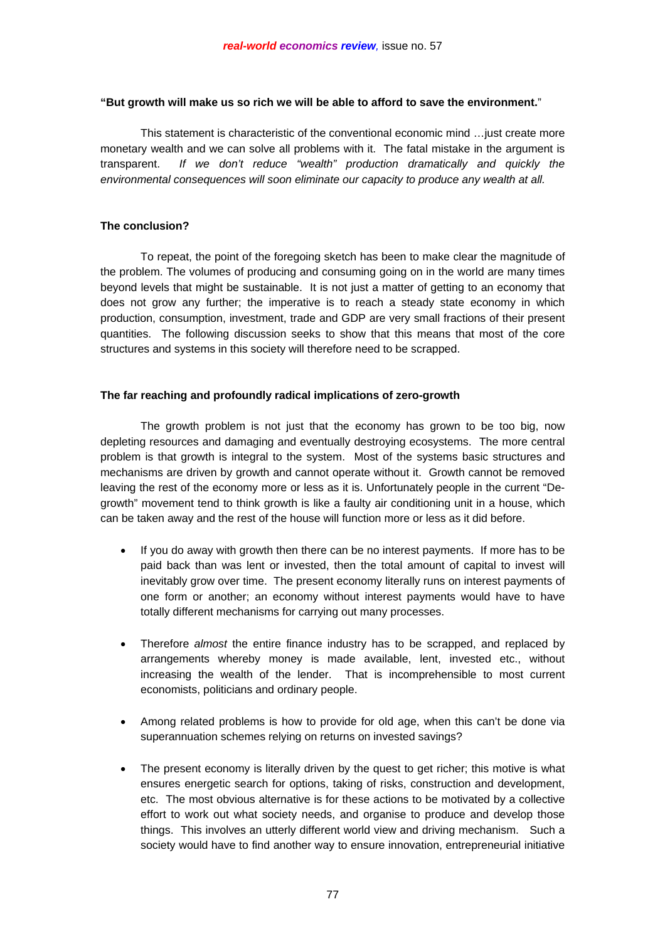# **"But growth will make us so rich we will be able to afford to save the environment.**"

 This statement is characteristic of the conventional economic mind …just create more monetary wealth and we can solve all problems with it. The fatal mistake in the argument is transparent. *If we don't reduce "wealth" production dramatically and quickly the environmental consequences will soon eliminate our capacity to produce any wealth at all.*

# **The conclusion?**

 To repeat, the point of the foregoing sketch has been to make clear the magnitude of the problem. The volumes of producing and consuming going on in the world are many times beyond levels that might be sustainable. It is not just a matter of getting to an economy that does not grow any further; the imperative is to reach a steady state economy in which production, consumption, investment, trade and GDP are very small fractions of their present quantities. The following discussion seeks to show that this means that most of the core structures and systems in this society will therefore need to be scrapped.

# **The far reaching and profoundly radical implications of zero-growth**

 The growth problem is not just that the economy has grown to be too big, now depleting resources and damaging and eventually destroying ecosystems. The more central problem is that growth is integral to the system. Most of the systems basic structures and mechanisms are driven by growth and cannot operate without it. Growth cannot be removed leaving the rest of the economy more or less as it is. Unfortunately people in the current "Degrowth" movement tend to think growth is like a faulty air conditioning unit in a house, which can be taken away and the rest of the house will function more or less as it did before.

- If you do away with growth then there can be no interest payments. If more has to be paid back than was lent or invested, then the total amount of capital to invest will inevitably grow over time. The present economy literally runs on interest payments of one form or another; an economy without interest payments would have to have totally different mechanisms for carrying out many processes.
- Therefore *almost* the entire finance industry has to be scrapped, and replaced by arrangements whereby money is made available, lent, invested etc., without increasing the wealth of the lender. That is incomprehensible to most current economists, politicians and ordinary people.
- Among related problems is how to provide for old age, when this can't be done via superannuation schemes relying on returns on invested savings?
- The present economy is literally driven by the quest to get richer; this motive is what ensures energetic search for options, taking of risks, construction and development, etc. The most obvious alternative is for these actions to be motivated by a collective effort to work out what society needs, and organise to produce and develop those things. This involves an utterly different world view and driving mechanism. Such a society would have to find another way to ensure innovation, entrepreneurial initiative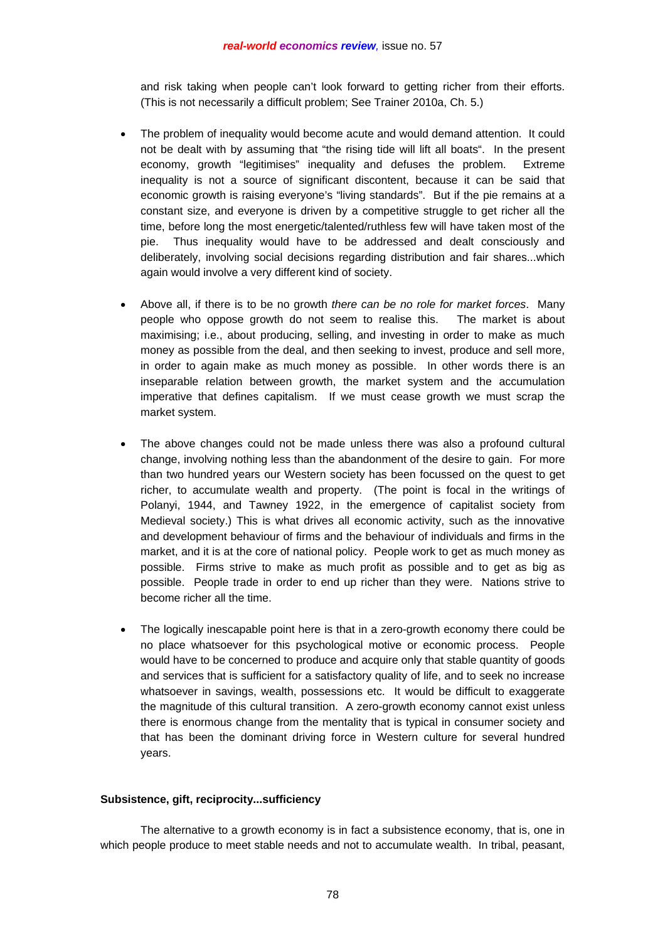and risk taking when people can't look forward to getting richer from their efforts. (This is not necessarily a difficult problem; See Trainer 2010a, Ch. 5.)

- The problem of inequality would become acute and would demand attention. It could not be dealt with by assuming that "the rising tide will lift all boats". In the present economy, growth "legitimises" inequality and defuses the problem. Extreme inequality is not a source of significant discontent, because it can be said that economic growth is raising everyone's "living standards". But if the pie remains at a constant size, and everyone is driven by a competitive struggle to get richer all the time, before long the most energetic/talented/ruthless few will have taken most of the pie. Thus inequality would have to be addressed and dealt consciously and deliberately, involving social decisions regarding distribution and fair shares...which again would involve a very different kind of society.
- Above all, if there is to be no growth *there can be no role for market forces*. Many people who oppose growth do not seem to realise this. The market is about maximising; i.e., about producing, selling, and investing in order to make as much money as possible from the deal, and then seeking to invest, produce and sell more, in order to again make as much money as possible. In other words there is an inseparable relation between growth, the market system and the accumulation imperative that defines capitalism. If we must cease growth we must scrap the market system.
- The above changes could not be made unless there was also a profound cultural change, involving nothing less than the abandonment of the desire to gain. For more than two hundred years our Western society has been focussed on the quest to get richer, to accumulate wealth and property. (The point is focal in the writings of Polanyi, 1944, and Tawney 1922, in the emergence of capitalist society from Medieval society.) This is what drives all economic activity, such as the innovative and development behaviour of firms and the behaviour of individuals and firms in the market, and it is at the core of national policy. People work to get as much money as possible. Firms strive to make as much profit as possible and to get as big as possible. People trade in order to end up richer than they were. Nations strive to become richer all the time.
- The logically inescapable point here is that in a zero-growth economy there could be no place whatsoever for this psychological motive or economic process. People would have to be concerned to produce and acquire only that stable quantity of goods and services that is sufficient for a satisfactory quality of life, and to seek no increase whatsoever in savings, wealth, possessions etc. It would be difficult to exaggerate the magnitude of this cultural transition. A zero-growth economy cannot exist unless there is enormous change from the mentality that is typical in consumer society and that has been the dominant driving force in Western culture for several hundred years.

# **Subsistence, gift, reciprocity...sufficiency**

 The alternative to a growth economy is in fact a subsistence economy, that is, one in which people produce to meet stable needs and not to accumulate wealth. In tribal, peasant,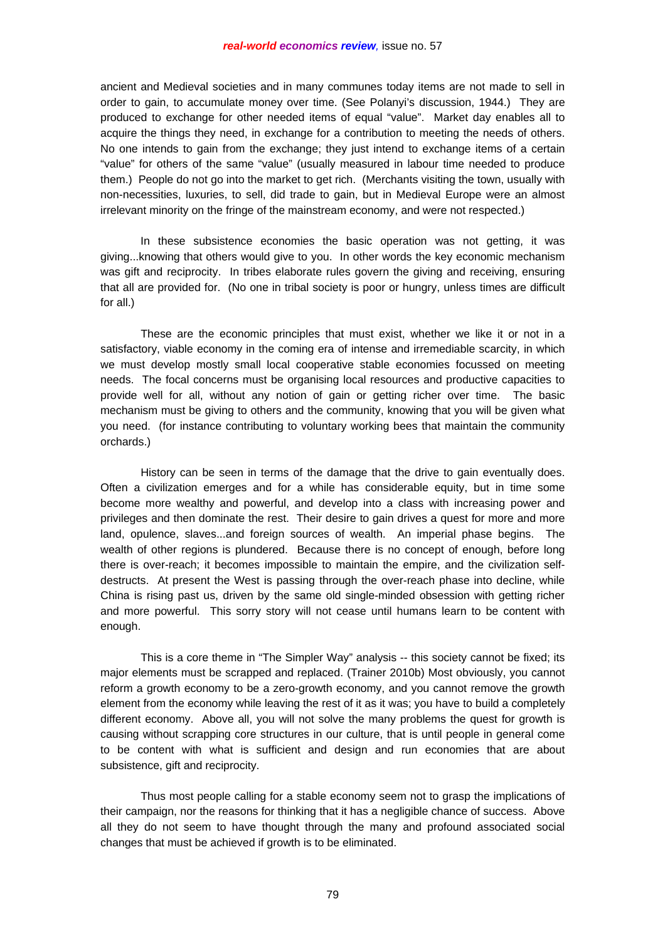ancient and Medieval societies and in many communes today items are not made to sell in order to gain, to accumulate money over time. (See Polanyi's discussion, 1944.) They are produced to exchange for other needed items of equal "value". Market day enables all to acquire the things they need, in exchange for a contribution to meeting the needs of others. No one intends to gain from the exchange; they just intend to exchange items of a certain "value" for others of the same "value" (usually measured in labour time needed to produce them.) People do not go into the market to get rich. (Merchants visiting the town, usually with non-necessities, luxuries, to sell, did trade to gain, but in Medieval Europe were an almost irrelevant minority on the fringe of the mainstream economy, and were not respected.)

 In these subsistence economies the basic operation was not getting, it was giving...knowing that others would give to you. In other words the key economic mechanism was gift and reciprocity. In tribes elaborate rules govern the giving and receiving, ensuring that all are provided for. (No one in tribal society is poor or hungry, unless times are difficult for all.)

 These are the economic principles that must exist, whether we like it or not in a satisfactory, viable economy in the coming era of intense and irremediable scarcity, in which we must develop mostly small local cooperative stable economies focussed on meeting needs. The focal concerns must be organising local resources and productive capacities to provide well for all, without any notion of gain or getting richer over time. The basic mechanism must be giving to others and the community, knowing that you will be given what you need. (for instance contributing to voluntary working bees that maintain the community orchards.)

 History can be seen in terms of the damage that the drive to gain eventually does. Often a civilization emerges and for a while has considerable equity, but in time some become more wealthy and powerful, and develop into a class with increasing power and privileges and then dominate the rest. Their desire to gain drives a quest for more and more land, opulence, slaves...and foreign sources of wealth. An imperial phase begins. The wealth of other regions is plundered. Because there is no concept of enough, before long there is over-reach; it becomes impossible to maintain the empire, and the civilization selfdestructs. At present the West is passing through the over-reach phase into decline, while China is rising past us, driven by the same old single-minded obsession with getting richer and more powerful. This sorry story will not cease until humans learn to be content with enough.

 This is a core theme in "The Simpler Way" analysis -- this society cannot be fixed; its major elements must be scrapped and replaced. (Trainer 2010b) Most obviously, you cannot reform a growth economy to be a zero-growth economy, and you cannot remove the growth element from the economy while leaving the rest of it as it was; you have to build a completely different economy. Above all, you will not solve the many problems the quest for growth is causing without scrapping core structures in our culture, that is until people in general come to be content with what is sufficient and design and run economies that are about subsistence, gift and reciprocity.

 Thus most people calling for a stable economy seem not to grasp the implications of their campaign, nor the reasons for thinking that it has a negligible chance of success. Above all they do not seem to have thought through the many and profound associated social changes that must be achieved if growth is to be eliminated.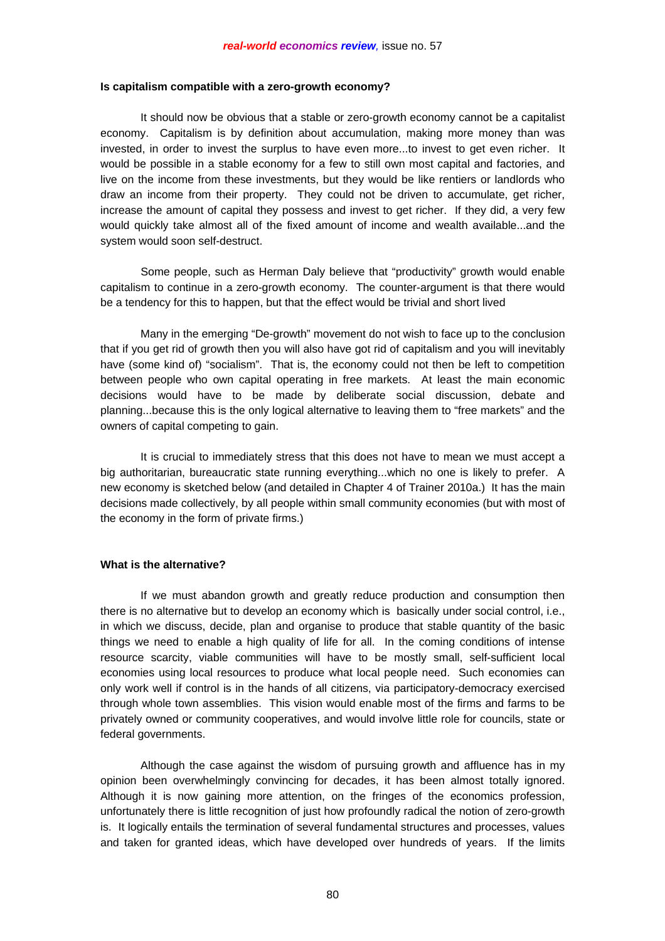#### **Is capitalism compatible with a zero-growth economy?**

 It should now be obvious that a stable or zero-growth economy cannot be a capitalist economy. Capitalism is by definition about accumulation, making more money than was invested, in order to invest the surplus to have even more...to invest to get even richer. It would be possible in a stable economy for a few to still own most capital and factories, and live on the income from these investments, but they would be like rentiers or landlords who draw an income from their property. They could not be driven to accumulate, get richer, increase the amount of capital they possess and invest to get richer. If they did, a very few would quickly take almost all of the fixed amount of income and wealth available...and the system would soon self-destruct.

 Some people, such as Herman Daly believe that "productivity" growth would enable capitalism to continue in a zero-growth economy. The counter-argument is that there would be a tendency for this to happen, but that the effect would be trivial and short lived

 Many in the emerging "De-growth" movement do not wish to face up to the conclusion that if you get rid of growth then you will also have got rid of capitalism and you will inevitably have (some kind of) "socialism". That is, the economy could not then be left to competition between people who own capital operating in free markets. At least the main economic decisions would have to be made by deliberate social discussion, debate and planning...because this is the only logical alternative to leaving them to "free markets" and the owners of capital competing to gain.

 It is crucial to immediately stress that this does not have to mean we must accept a big authoritarian, bureaucratic state running everything...which no one is likely to prefer. A new economy is sketched below (and detailed in Chapter 4 of Trainer 2010a.) It has the main decisions made collectively, by all people within small community economies (but with most of the economy in the form of private firms.)

#### **What is the alternative?**

 If we must abandon growth and greatly reduce production and consumption then there is no alternative but to develop an economy which is basically under social control, i.e., in which we discuss, decide, plan and organise to produce that stable quantity of the basic things we need to enable a high quality of life for all. In the coming conditions of intense resource scarcity, viable communities will have to be mostly small, self-sufficient local economies using local resources to produce what local people need. Such economies can only work well if control is in the hands of all citizens, via participatory-democracy exercised through whole town assemblies. This vision would enable most of the firms and farms to be privately owned or community cooperatives, and would involve little role for councils, state or federal governments.

 Although the case against the wisdom of pursuing growth and affluence has in my opinion been overwhelmingly convincing for decades, it has been almost totally ignored. Although it is now gaining more attention, on the fringes of the economics profession, unfortunately there is little recognition of just how profoundly radical the notion of zero-growth is. It logically entails the termination of several fundamental structures and processes, values and taken for granted ideas, which have developed over hundreds of years. If the limits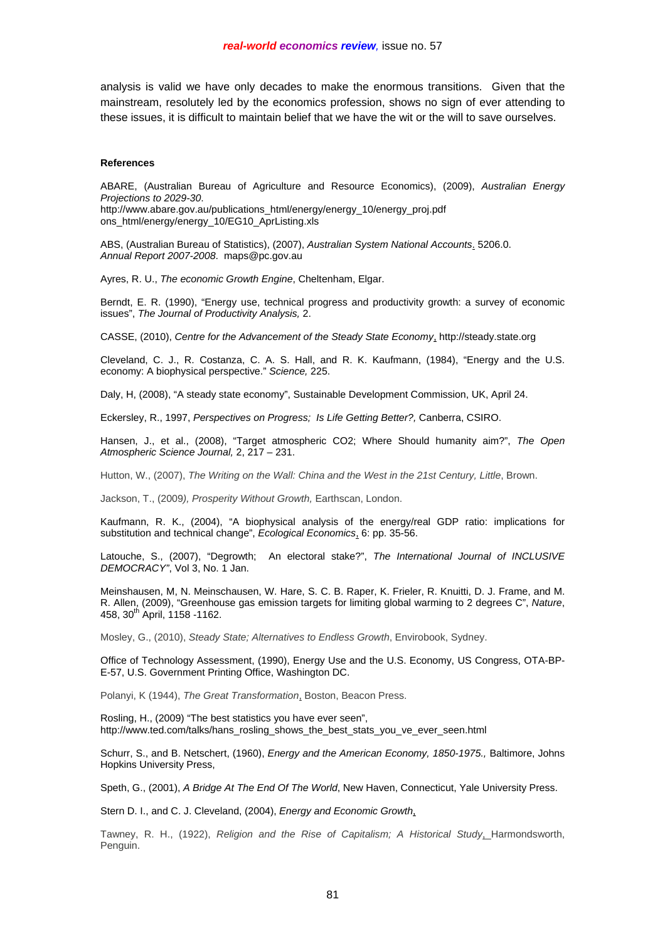analysis is valid we have only decades to make the enormous transitions. Given that the mainstream, resolutely led by the economics profession, shows no sign of ever attending to these issues, it is difficult to maintain belief that we have the wit or the will to save ourselves.

#### **References**

ABARE, (Australian Bureau of Agriculture and Resource Economics), (2009), *Australian Energy Projections to 2029-30*. http://www.abare.gov.au/publications\_html/energy/energy\_10/energy\_proj.pdf

ons\_html/energy/energy\_10/EG10\_AprListing.xls

ABS, (Australian Bureau of Statistics), (2007), *Australian System National Accounts*. 5206.0. *Annual Report 2007-2008*. maps@pc.gov.au

Ayres, R. U., *The economic Growth Engine*, Cheltenham, Elgar.

Berndt, E. R. (1990), "Energy use, technical progress and productivity growth: a survey of economic issues", *The Journal of Productivity Analysis,* 2.

CASSE, (2010), *Centre for the Advancement of the Steady State Economy*, http://steady.state.org

Cleveland, C. J., R. Costanza, C. A. S. Hall, and R. K. Kaufmann, (1984), "Energy and the U.S. economy: A biophysical perspective." *Science,* 225.

Daly, H, (2008), "A steady state economy", Sustainable Development Commission, UK, April 24.

Eckersley, R., 1997, *Perspectives on Progress; Is Life Getting Better?,* Canberra, CSIRO.

Hansen, J., et al., (2008), "Target atmospheric CO2; Where Should humanity aim?", *The Open Atmospheric Science Journal,* 2, 217 – 231.

Hutton, W., (2007), *The Writing on the Wall: China and the West in the 21st Century, Little*, Brown.

Jackson, T., (2009*), Prosperity Without Growth,* Earthscan, London.

Kaufmann, R. K., (2004), "A biophysical analysis of the energy/real GDP ratio: implications for substitution and technical change", *Ecological Economics*, 6: pp. 35-56.

Latouche, S., (2007), "Degrowth; An electoral stake?", *The International Journal of INCLUSIVE DEMOCRACY"*, Vol 3, No. 1 Jan.

Meinshausen, M, N. Meinschausen, W. Hare, S. C. B. Raper, K. Frieler, R. Knuitti, D. J. Frame, and M. R. Allen, (2009), "Greenhouse gas emission targets for limiting global warming to 2 degrees C", *Nature*, 458, 30<sup>th</sup> April, 1158 -1162.

Mosley, G., (2010), *Steady State; Alternatives to Endless Growth*, Envirobook, Sydney.

Office of Technology Assessment, (1990), Energy Use and the U.S. Economy, US Congress, OTA-BP-E-57, U.S. Government Printing Office, Washington DC.

Polanyi, K (1944), *The Great Transformation*, Boston, Beacon Press.

Rosling, H., (2009) "The best statistics you have ever seen", http://www.ted.com/talks/hans\_rosling\_shows\_the\_best\_stats\_you\_ve\_ever\_seen.html

Schurr, S., and B. Netschert, (1960), *Energy and the American Economy, 1850-1975.,* Baltimore, Johns Hopkins University Press,

Speth, G., (2001), *A Bridge At The End Of The World*, New Haven, Connecticut, Yale University Press.

Stern D. I., and C. J. Cleveland, (2004), *Energy and Economic Growth*,

Tawney, R. H., (1922), *Religion and the Rise of Capitalism; A Historical Study*, Harmondsworth, Penguin.